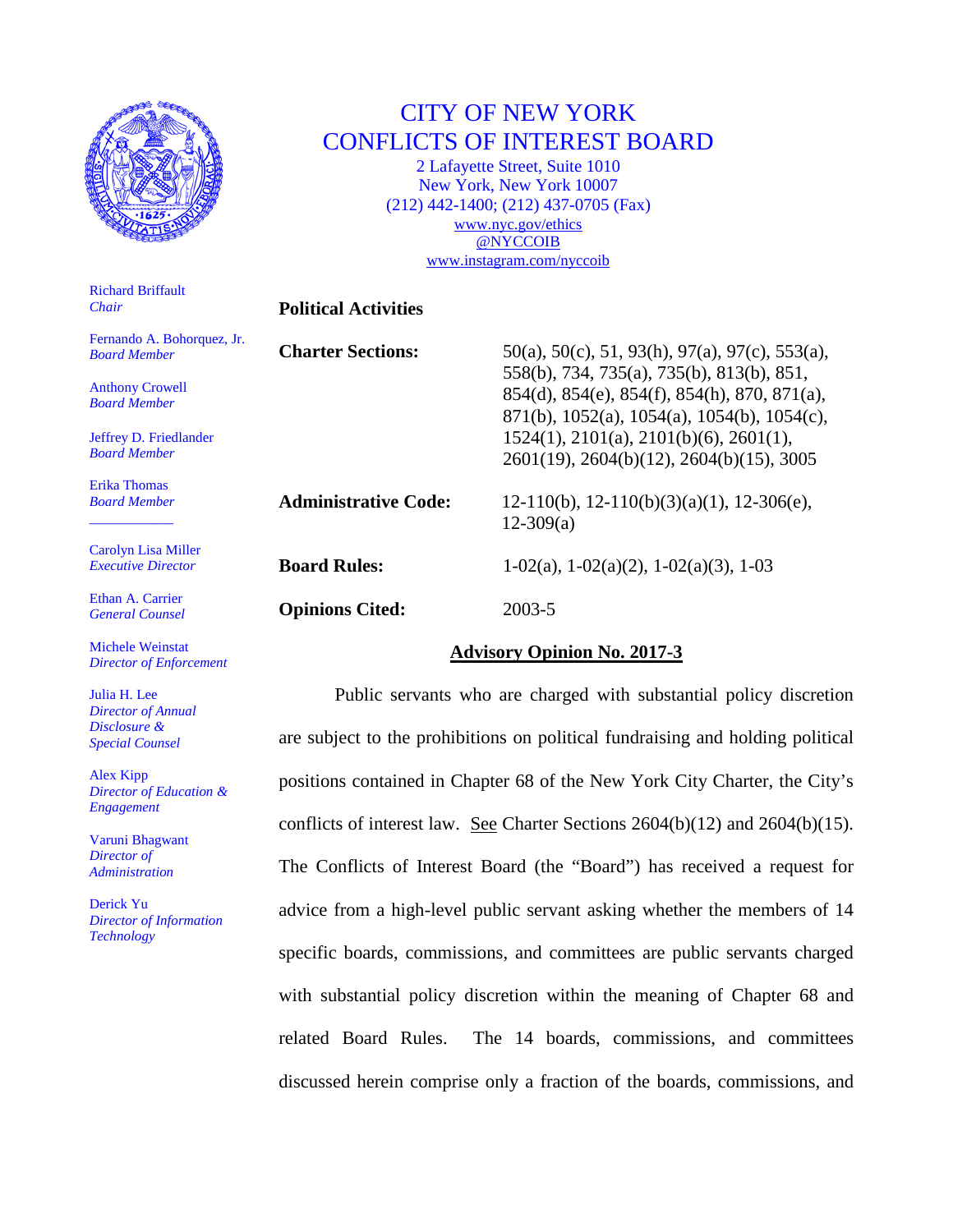

# CITY OF NEW YORK CONFLICTS OF INTEREST BOARD

2 Lafayette Street, Suite 1010 New York, New York 10007 (212) 442-1400; (212) 437-0705 (Fax) [www.nyc.gov/ethics](http://www.nyc.gov/ethics) [@NYCCOIB](http://www.twitter.com/nyccoib) [www.instagram.com/nyccoib](http://www.instagram.com/nyccoib)

## **Political Activities**

| Fernando A. Bohorquez, Jr. |  |
|----------------------------|--|
| <b>Board Member</b>        |  |

Anthony Crowell *Board Member*

Richard Briffault

*Chair*

Jeffrey D. Friedlander *Board Member*

Erika Thomas *Board Member* \_\_\_\_\_\_\_\_\_\_\_\_

Carolyn Lisa Miller *Executive Director*

Ethan A. Carrier *General Counsel*

Michele Weinstat *Director of Enforcement*

Julia H. Lee *Director of Annual Disclosure & Special Counsel*

Alex Kipp *Director of Education & Engagement*

Varuni Bhagwant *Director of Administration*

Derick Yu *Director of Information Technology*

| <b>Charter Sections:</b>    | $50(a)$ , $50(c)$ , $51$ , $93(h)$ , $97(a)$ , $97(c)$ , $553(a)$ ,<br>558(b), 734, 735(a), 735(b), 813(b), 851,<br>854(d), 854(e), 854(f), 854(h), 870, 871(a),<br>$871(b)$ , 1052(a), 1054(a), 1054(b), 1054(c),<br>$1524(1)$ , $2101(a)$ , $2101(b)(6)$ , $2601(1)$ ,<br>2601(19), 2604(b)(12), 2604(b)(15), 3005 |
|-----------------------------|----------------------------------------------------------------------------------------------------------------------------------------------------------------------------------------------------------------------------------------------------------------------------------------------------------------------|
| <b>Administrative Code:</b> | $12-110(b)$ , $12-110(b)(3)(a)(1)$ , $12-306(e)$ ,<br>$12-309(a)$                                                                                                                                                                                                                                                    |
| <b>Board Rules:</b>         | $1-02(a)$ , $1-02(a)(2)$ , $1-02(a)(3)$ , $1-03$                                                                                                                                                                                                                                                                     |
| <b>Opinions Cited:</b>      | 2003-5                                                                                                                                                                                                                                                                                                               |

# **Advisory Opinion No. 2017-3**

Public servants who are charged with substantial policy discretion are subject to the prohibitions on political fundraising and holding political positions contained in Chapter 68 of the New York City Charter, the City's conflicts of interest law. See Charter Sections 2604(b)(12) and 2604(b)(15). The Conflicts of Interest Board (the "Board") has received a request for advice from a high-level public servant asking whether the members of 14 specific boards, commissions, and committees are public servants charged with substantial policy discretion within the meaning of Chapter 68 and related Board Rules. The 14 boards, commissions, and committees discussed herein comprise only a fraction of the boards, commissions, and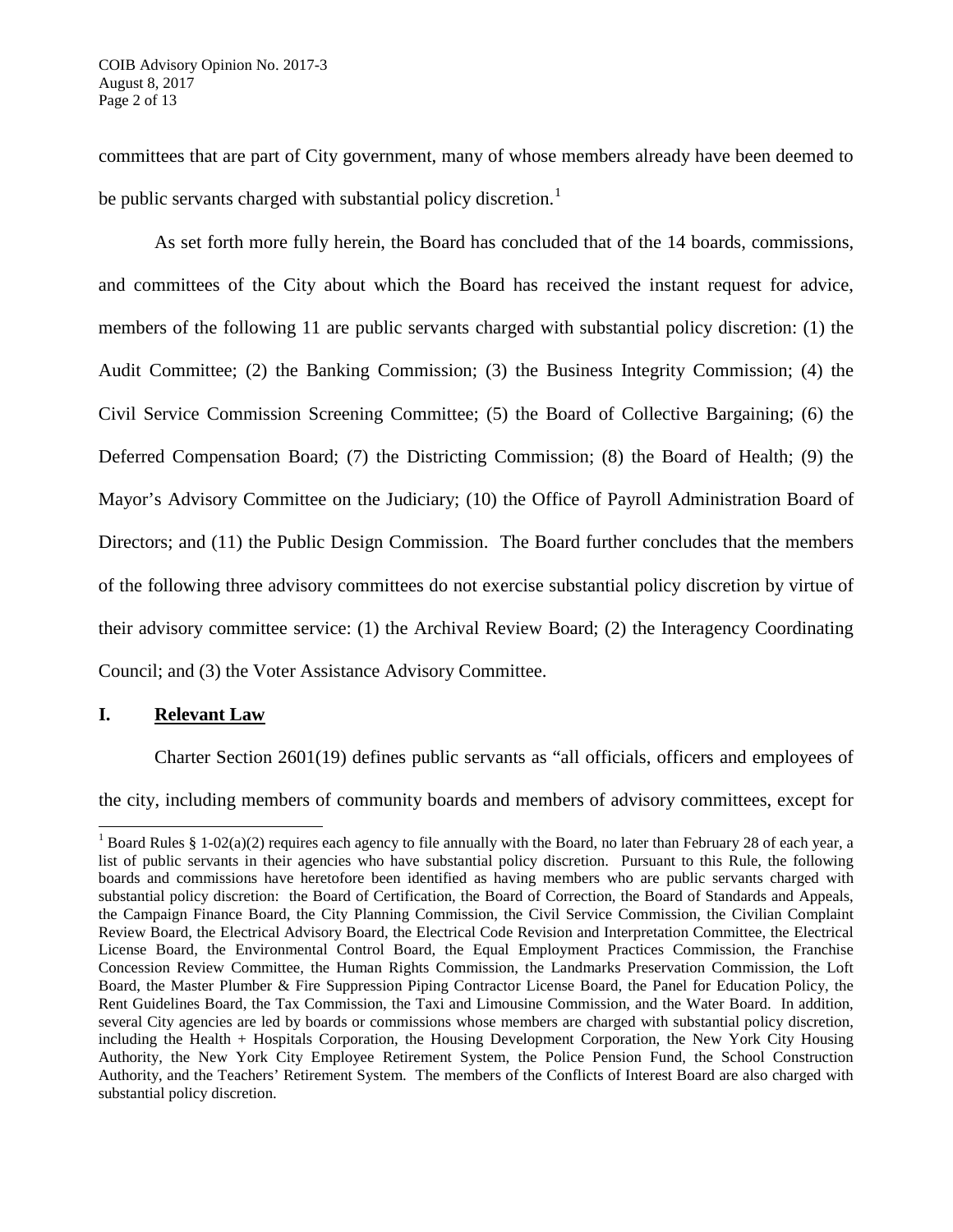committees that are part of City government, many of whose members already have been deemed to be public servants charged with substantial policy discretion.<sup>[1](#page-1-0)</sup>

As set forth more fully herein, the Board has concluded that of the 14 boards, commissions, and committees of the City about which the Board has received the instant request for advice, members of the following 11 are public servants charged with substantial policy discretion: (1) the Audit Committee; (2) the Banking Commission; (3) the Business Integrity Commission; (4) the Civil Service Commission Screening Committee; (5) the Board of Collective Bargaining; (6) the Deferred Compensation Board; (7) the Districting Commission; (8) the Board of Health; (9) the Mayor's Advisory Committee on the Judiciary; (10) the Office of Payroll Administration Board of Directors; and (11) the Public Design Commission. The Board further concludes that the members of the following three advisory committees do not exercise substantial policy discretion by virtue of their advisory committee service: (1) the Archival Review Board; (2) the Interagency Coordinating Council; and (3) the Voter Assistance Advisory Committee.

# **I. Relevant Law**

Charter Section 2601(19) defines public servants as "all officials, officers and employees of

the city, including members of community boards and members of advisory committees, except for

<span id="page-1-0"></span><sup>&</sup>lt;sup>1</sup> Board Rules § 1-02(a)(2) requires each agency to file annually with the Board, no later than February 28 of each year, a list of public servants in their agencies who have substantial policy discretion. Pursuant to this Rule, the following boards and commissions have heretofore been identified as having members who are public servants charged with substantial policy discretion: the Board of Certification, the Board of Correction, the Board of Standards and Appeals, the Campaign Finance Board, the City Planning Commission, the Civil Service Commission, the Civilian Complaint Review Board, the Electrical Advisory Board, the Electrical Code Revision and Interpretation Committee, the Electrical License Board, the Environmental Control Board, the Equal Employment Practices Commission, the Franchise Concession Review Committee, the Human Rights Commission, the Landmarks Preservation Commission, the Loft Board, the Master Plumber & Fire Suppression Piping Contractor License Board, the Panel for Education Policy, the Rent Guidelines Board, the Tax Commission, the Taxi and Limousine Commission, and the Water Board. In addition, several City agencies are led by boards or commissions whose members are charged with substantial policy discretion, including the Health + Hospitals Corporation, the Housing Development Corporation, the New York City Housing Authority, the New York City Employee Retirement System, the Police Pension Fund, the School Construction Authority, and the Teachers' Retirement System. The members of the Conflicts of Interest Board are also charged with substantial policy discretion.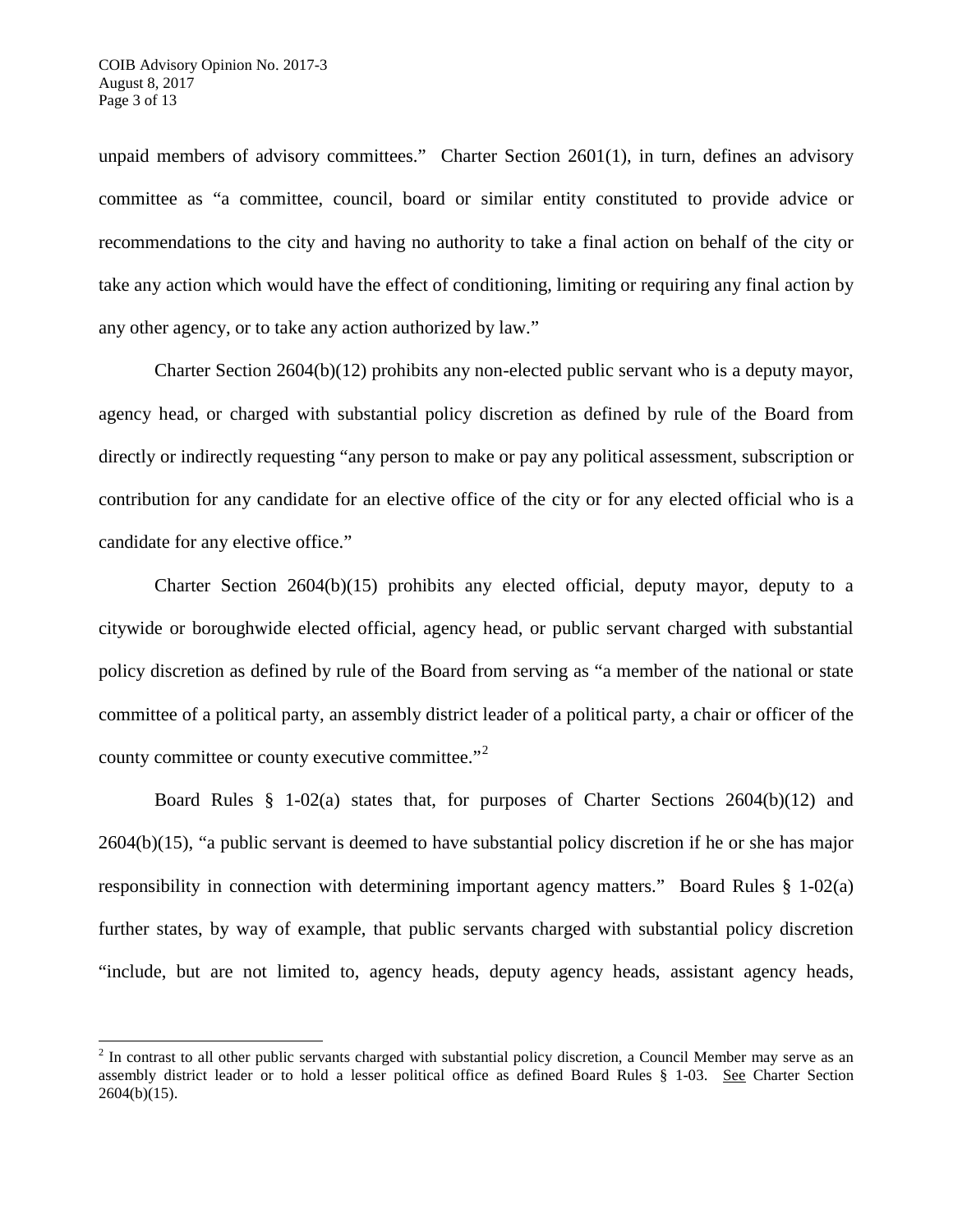unpaid members of advisory committees." Charter Section 2601(1), in turn, defines an advisory committee as "a committee, council, board or similar entity constituted to provide advice or recommendations to the city and having no authority to take a final action on behalf of the city or take any action which would have the effect of conditioning, limiting or requiring any final action by any other agency, or to take any action authorized by law."

Charter Section 2604(b)(12) prohibits any non-elected public servant who is a deputy mayor, agency head, or charged with substantial policy discretion as defined by rule of the Board from directly or indirectly requesting "any person to make or pay any political assessment, subscription or contribution for any candidate for an elective office of the city or for any elected official who is a candidate for any elective office."

Charter Section 2604(b)(15) prohibits any elected official, deputy mayor, deputy to a citywide or boroughwide elected official, agency head, or public servant charged with substantial policy discretion as defined by rule of the Board from serving as "a member of the national or state committee of a political party, an assembly district leader of a political party, a chair or officer of the county committee or county executive committee."<sup>[2](#page-2-0)</sup>

Board Rules § 1-02(a) states that, for purposes of Charter Sections 2604(b)(12) and 2604(b)(15), "a public servant is deemed to have substantial policy discretion if he or she has major responsibility in connection with determining important agency matters." Board Rules § 1-02(a) further states, by way of example, that public servants charged with substantial policy discretion "include, but are not limited to, agency heads, deputy agency heads, assistant agency heads,

<span id="page-2-0"></span> $2$  In contrast to all other public servants charged with substantial policy discretion, a Council Member may serve as an assembly district leader or to hold a lesser political office as defined Board Rules § 1-03. See Charter Section  $2604(b)(15)$ .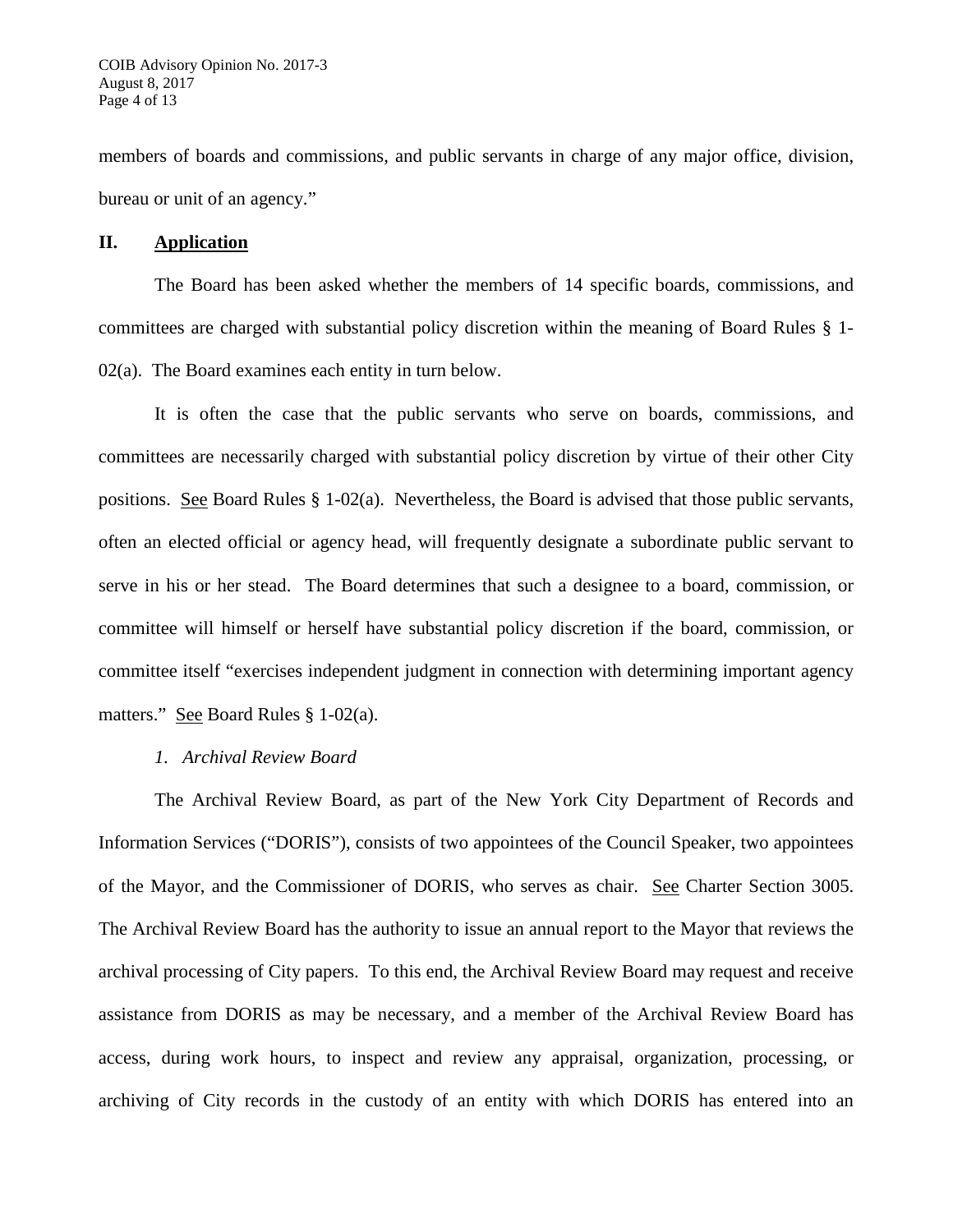members of boards and commissions, and public servants in charge of any major office, division, bureau or unit of an agency."

### **II. Application**

The Board has been asked whether the members of 14 specific boards, commissions, and committees are charged with substantial policy discretion within the meaning of Board Rules § 1- 02(a). The Board examines each entity in turn below.

It is often the case that the public servants who serve on boards, commissions, and committees are necessarily charged with substantial policy discretion by virtue of their other City positions. See Board Rules § 1-02(a). Nevertheless, the Board is advised that those public servants, often an elected official or agency head, will frequently designate a subordinate public servant to serve in his or her stead. The Board determines that such a designee to a board, commission, or committee will himself or herself have substantial policy discretion if the board, commission, or committee itself "exercises independent judgment in connection with determining important agency matters." See Board Rules § 1-02(a).

# *1. Archival Review Board*

The Archival Review Board, as part of the New York City Department of Records and Information Services ("DORIS"), consists of two appointees of the Council Speaker, two appointees of the Mayor, and the Commissioner of DORIS, who serves as chair. See Charter Section 3005. The Archival Review Board has the authority to issue an annual report to the Mayor that reviews the archival processing of City papers. To this end, the Archival Review Board may request and receive assistance from DORIS as may be necessary, and a member of the Archival Review Board has access, during work hours, to inspect and review any appraisal, organization, processing, or archiving of City records in the custody of an entity with which DORIS has entered into an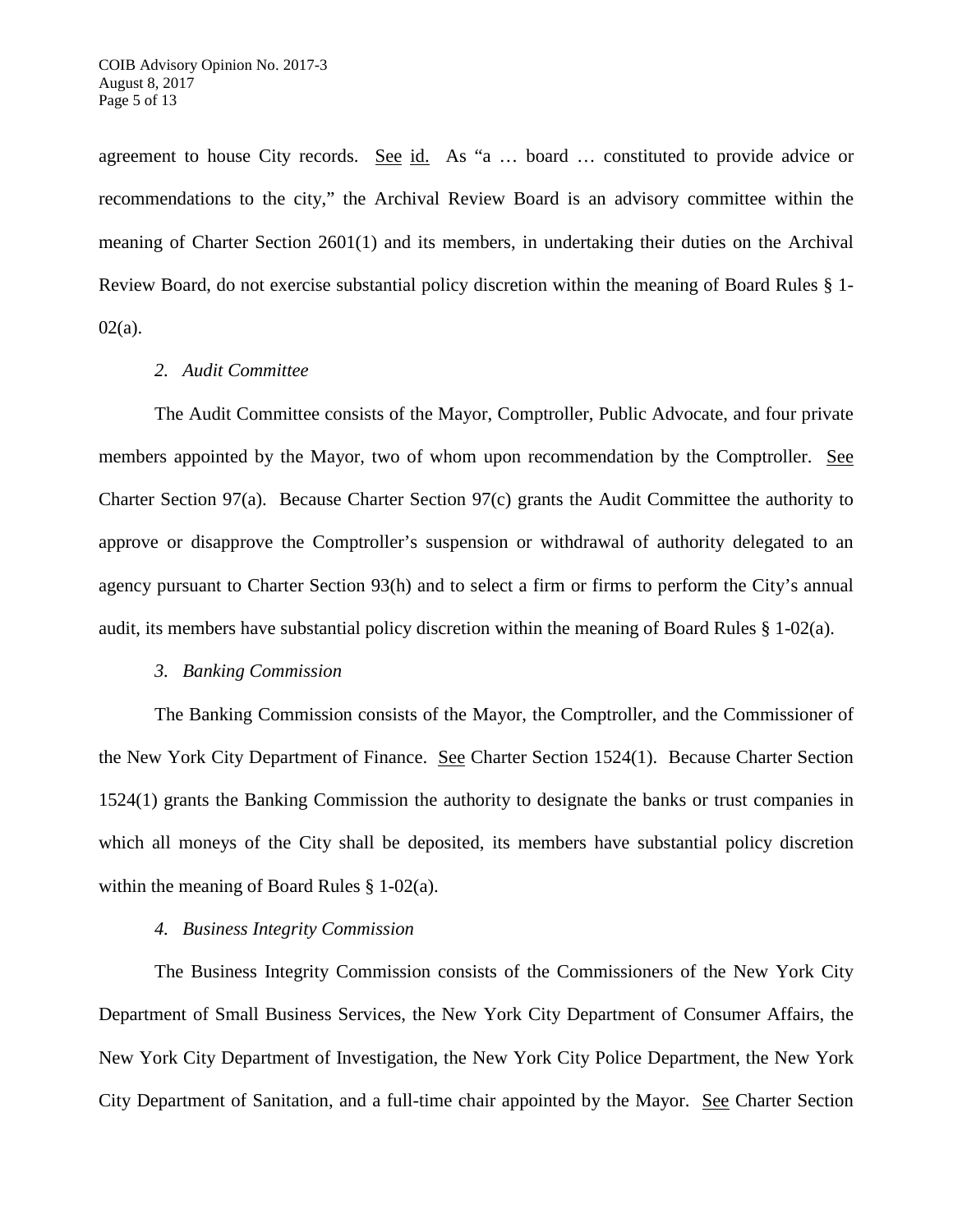agreement to house City records. See id. As "a ... board ... constituted to provide advice or recommendations to the city," the Archival Review Board is an advisory committee within the meaning of Charter Section 2601(1) and its members, in undertaking their duties on the Archival Review Board, do not exercise substantial policy discretion within the meaning of Board Rules § 1-  $02(a)$ .

### *2. Audit Committee*

The Audit Committee consists of the Mayor, Comptroller, Public Advocate, and four private members appointed by the Mayor, two of whom upon recommendation by the Comptroller. See Charter Section 97(a). Because Charter Section 97(c) grants the Audit Committee the authority to approve or disapprove the Comptroller's suspension or withdrawal of authority delegated to an agency pursuant to Charter Section 93(h) and to select a firm or firms to perform the City's annual audit, its members have substantial policy discretion within the meaning of Board Rules § 1-02(a).

# *3. Banking Commission*

The Banking Commission consists of the Mayor, the Comptroller, and the Commissioner of the New York City Department of Finance. See Charter Section 1524(1). Because Charter Section 1524(1) grants the Banking Commission the authority to designate the banks or trust companies in which all moneys of the City shall be deposited, its members have substantial policy discretion within the meaning of Board Rules § 1-02(a).

# *4. Business Integrity Commission*

The Business Integrity Commission consists of the Commissioners of the New York City Department of Small Business Services, the New York City Department of Consumer Affairs, the New York City Department of Investigation, the New York City Police Department, the New York City Department of Sanitation, and a full-time chair appointed by the Mayor. See Charter Section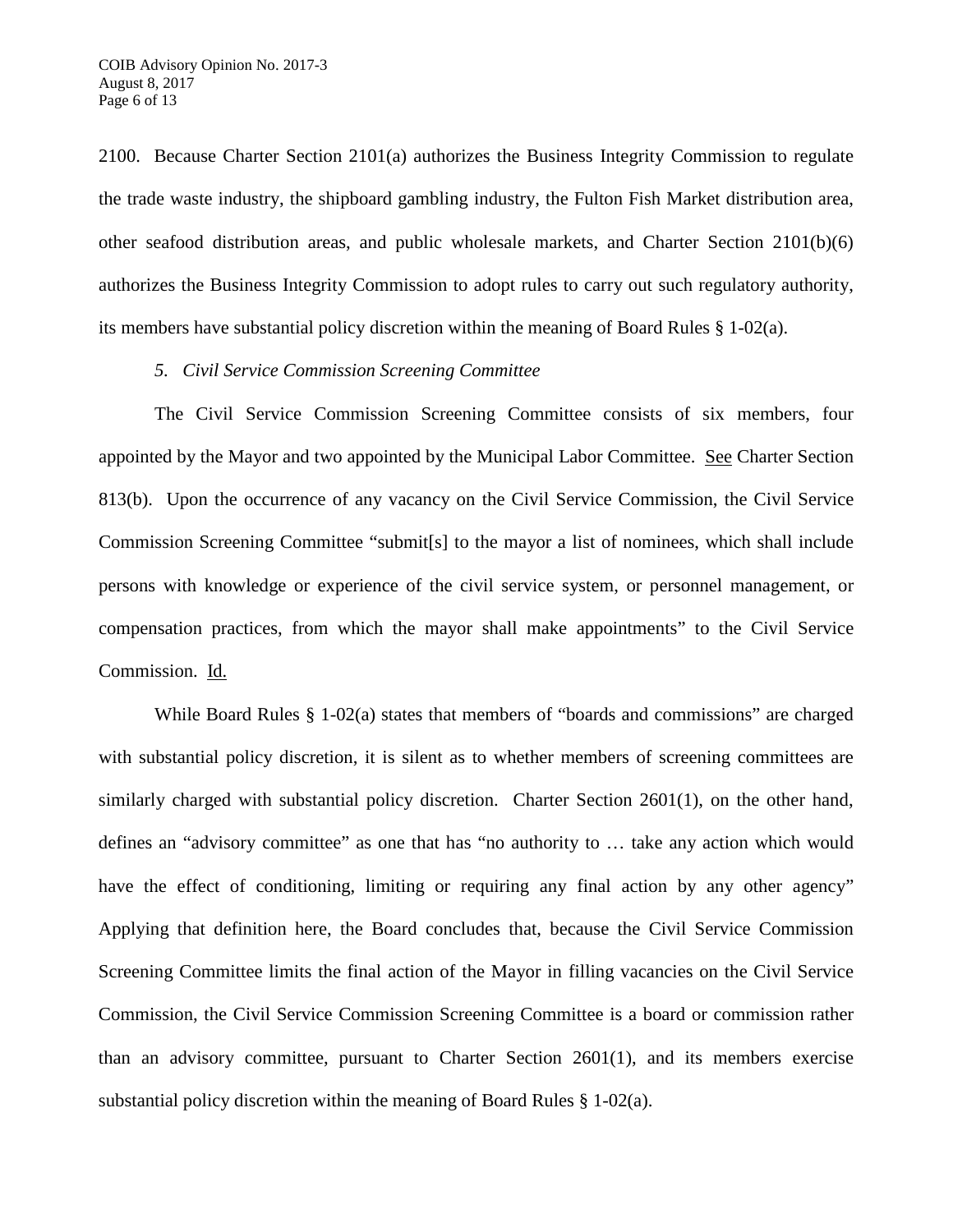2100. Because Charter Section 2101(a) authorizes the Business Integrity Commission to regulate the trade waste industry, the shipboard gambling industry, the Fulton Fish Market distribution area, other seafood distribution areas, and public wholesale markets, and Charter Section 2101(b)(6) authorizes the Business Integrity Commission to adopt rules to carry out such regulatory authority, its members have substantial policy discretion within the meaning of Board Rules § 1-02(a).

#### *5. Civil Service Commission Screening Committee*

The Civil Service Commission Screening Committee consists of six members, four appointed by the Mayor and two appointed by the Municipal Labor Committee. See Charter Section 813(b). Upon the occurrence of any vacancy on the Civil Service Commission, the Civil Service Commission Screening Committee "submit[s] to the mayor a list of nominees, which shall include persons with knowledge or experience of the civil service system, or personnel management, or compensation practices, from which the mayor shall make appointments" to the Civil Service Commission. Id.

While Board Rules § 1-02(a) states that members of "boards and commissions" are charged with substantial policy discretion, it is silent as to whether members of screening committees are similarly charged with substantial policy discretion. Charter Section 2601(1), on the other hand, defines an "advisory committee" as one that has "no authority to … take any action which would have the effect of conditioning, limiting or requiring any final action by any other agency" Applying that definition here, the Board concludes that, because the Civil Service Commission Screening Committee limits the final action of the Mayor in filling vacancies on the Civil Service Commission, the Civil Service Commission Screening Committee is a board or commission rather than an advisory committee, pursuant to Charter Section 2601(1), and its members exercise substantial policy discretion within the meaning of Board Rules § 1-02(a).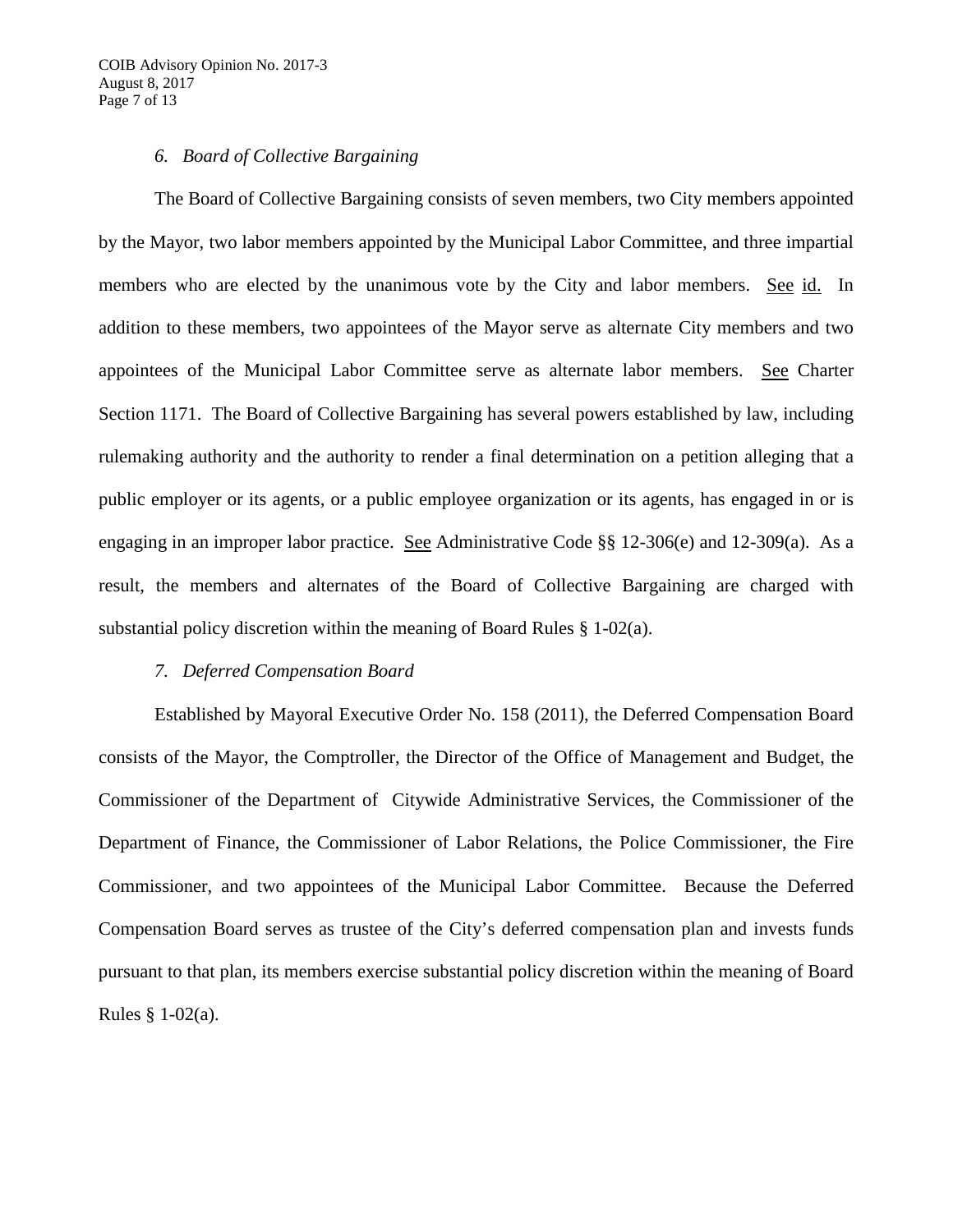## *6. Board of Collective Bargaining*

The Board of Collective Bargaining consists of seven members, two City members appointed by the Mayor, two labor members appointed by the Municipal Labor Committee, and three impartial members who are elected by the unanimous vote by the City and labor members. See id. In addition to these members, two appointees of the Mayor serve as alternate City members and two appointees of the Municipal Labor Committee serve as alternate labor members. See Charter Section 1171. The Board of Collective Bargaining has several powers established by law, including rulemaking authority and the authority to render a final determination on a petition alleging that a public employer or its agents, or a public employee organization or its agents, has engaged in or is engaging in an improper labor practice. See Administrative Code §§ 12-306(e) and 12-309(a). As a result, the members and alternates of the Board of Collective Bargaining are charged with substantial policy discretion within the meaning of Board Rules § 1-02(a).

# *7. Deferred Compensation Board*

Established by Mayoral Executive Order No. 158 (2011), the Deferred Compensation Board consists of the Mayor, the Comptroller, the Director of the Office of Management and Budget, the Commissioner of the Department of Citywide Administrative Services, the Commissioner of the Department of Finance, the Commissioner of Labor Relations, the Police Commissioner, the Fire Commissioner, and two appointees of the Municipal Labor Committee. Because the Deferred Compensation Board serves as trustee of the City's deferred compensation plan and invests funds pursuant to that plan, its members exercise substantial policy discretion within the meaning of Board Rules § 1-02(a).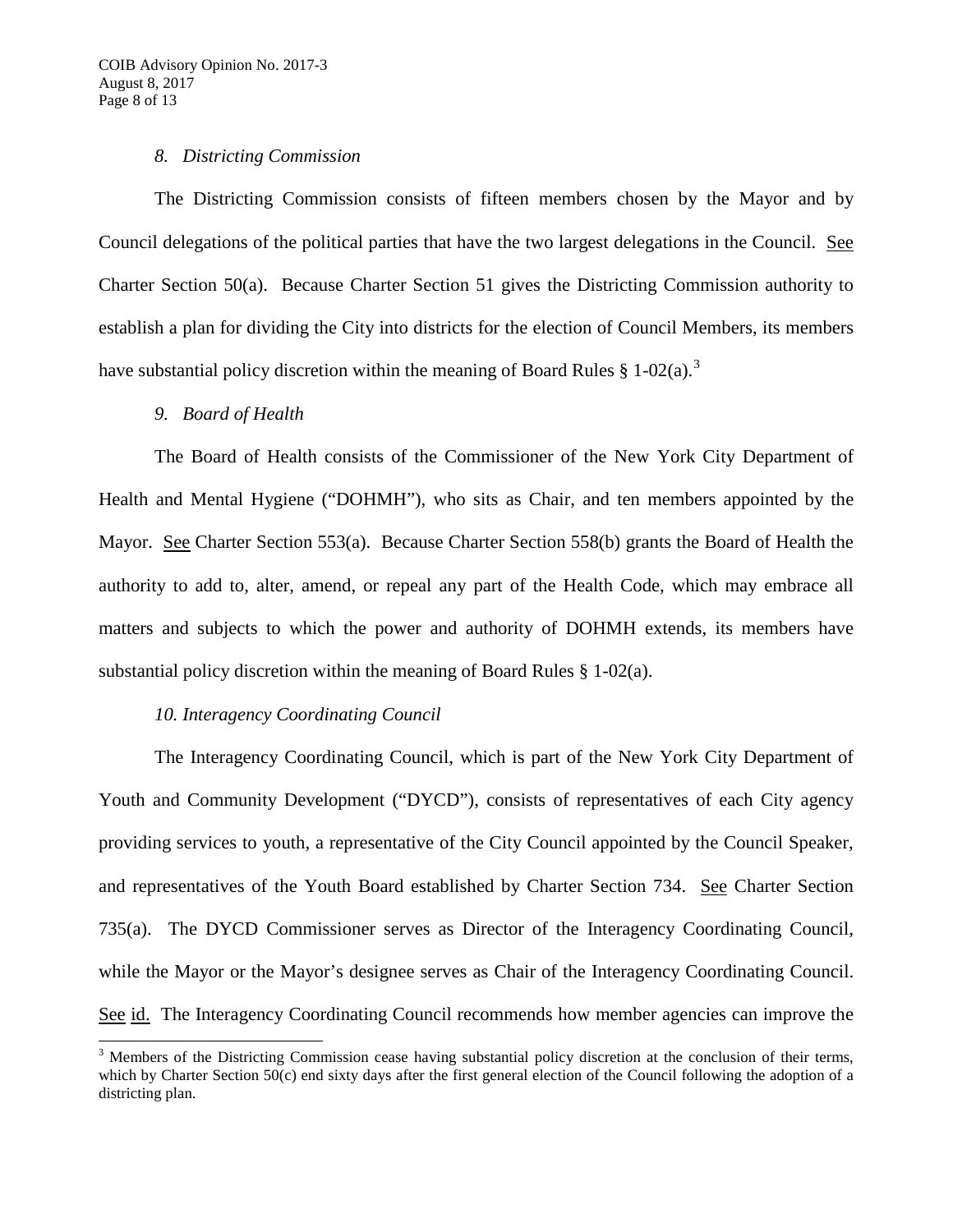## *8. Districting Commission*

The Districting Commission consists of fifteen members chosen by the Mayor and by Council delegations of the political parties that have the two largest delegations in the Council. See Charter Section 50(a). Because Charter Section 51 gives the Districting Commission authority to establish a plan for dividing the City into districts for the election of Council Members, its members have substantial policy discretion within the meaning of Board Rules § 1-02(a).<sup>[3](#page-7-0)</sup>

# *9. Board of Health*

The Board of Health consists of the Commissioner of the New York City Department of Health and Mental Hygiene ("DOHMH"), who sits as Chair, and ten members appointed by the Mayor. See Charter Section 553(a). Because Charter Section 558(b) grants the Board of Health the authority to add to, alter, amend, or repeal any part of the Health Code, which may embrace all matters and subjects to which the power and authority of DOHMH extends, its members have substantial policy discretion within the meaning of Board Rules § 1-02(a).

# *10. Interagency Coordinating Council*

The Interagency Coordinating Council, which is part of the New York City Department of Youth and Community Development ("DYCD"), consists of representatives of each City agency providing services to youth, a representative of the City Council appointed by the Council Speaker, and representatives of the Youth Board established by Charter Section 734. See Charter Section 735(a). The DYCD Commissioner serves as Director of the Interagency Coordinating Council, while the Mayor or the Mayor's designee serves as Chair of the Interagency Coordinating Council. See id. The Interagency Coordinating Council recommends how member agencies can improve the

<span id="page-7-0"></span><sup>&</sup>lt;sup>3</sup> Members of the Districting Commission cease having substantial policy discretion at the conclusion of their terms, which by Charter Section 50(c) end sixty days after the first general election of the Council following the adoption of a districting plan.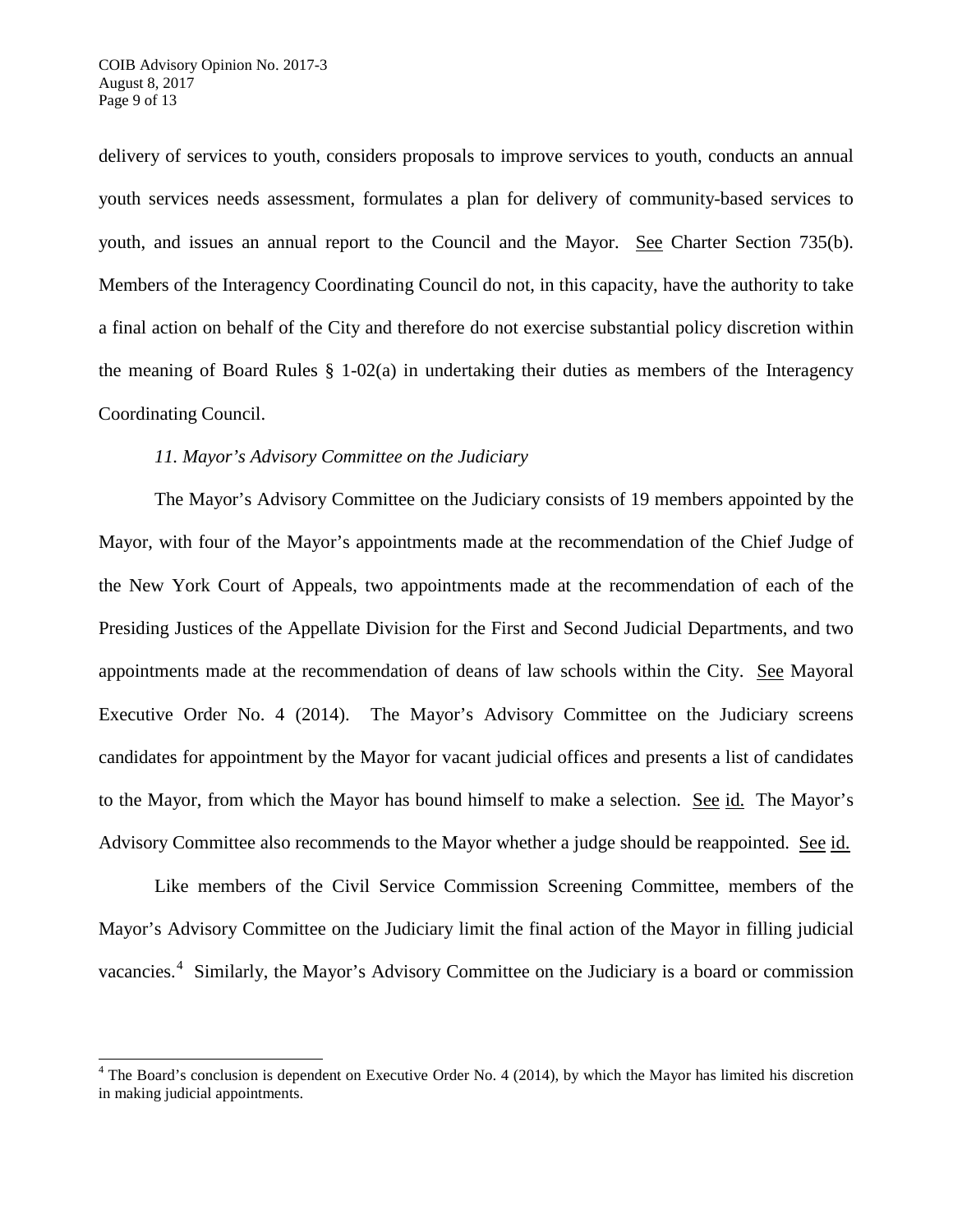delivery of services to youth, considers proposals to improve services to youth, conducts an annual youth services needs assessment, formulates a plan for delivery of community-based services to youth, and issues an annual report to the Council and the Mayor. See Charter Section 735(b). Members of the Interagency Coordinating Council do not, in this capacity, have the authority to take a final action on behalf of the City and therefore do not exercise substantial policy discretion within the meaning of Board Rules  $\S$  1-02(a) in undertaking their duties as members of the Interagency Coordinating Council.

## *11. Mayor's Advisory Committee on the Judiciary*

The Mayor's Advisory Committee on the Judiciary consists of 19 members appointed by the Mayor, with four of the Mayor's appointments made at the recommendation of the Chief Judge of the New York Court of Appeals, two appointments made at the recommendation of each of the Presiding Justices of the Appellate Division for the First and Second Judicial Departments, and two appointments made at the recommendation of deans of law schools within the City. See Mayoral Executive Order No. 4 (2014). The Mayor's Advisory Committee on the Judiciary screens candidates for appointment by the Mayor for vacant judicial offices and presents a list of candidates to the Mayor, from which the Mayor has bound himself to make a selection. See id. The Mayor's Advisory Committee also recommends to the Mayor whether a judge should be reappointed. See id.

Like members of the Civil Service Commission Screening Committee, members of the Mayor's Advisory Committee on the Judiciary limit the final action of the Mayor in filling judicial vacancies.<sup>[4](#page-8-0)</sup> Similarly, the Mayor's Advisory Committee on the Judiciary is a board or commission

<span id="page-8-0"></span> $4$  The Board's conclusion is dependent on Executive Order No. 4 (2014), by which the Mayor has limited his discretion in making judicial appointments.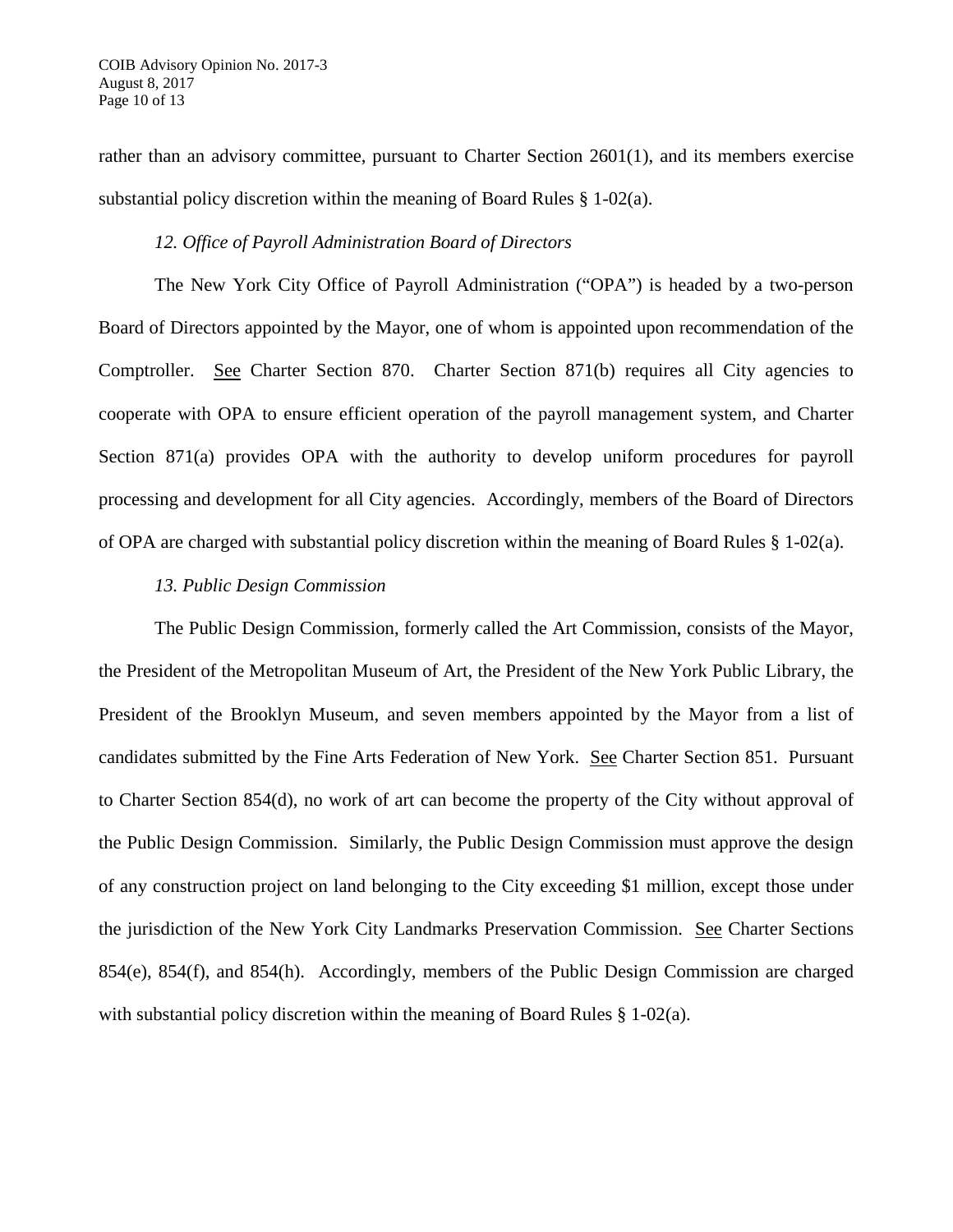rather than an advisory committee, pursuant to Charter Section 2601(1), and its members exercise substantial policy discretion within the meaning of Board Rules § 1-02(a).

### *12. Office of Payroll Administration Board of Directors*

The New York City Office of Payroll Administration ("OPA") is headed by a two-person Board of Directors appointed by the Mayor, one of whom is appointed upon recommendation of the Comptroller. See Charter Section 870. Charter Section 871(b) requires all City agencies to cooperate with OPA to ensure efficient operation of the payroll management system, and Charter Section 871(a) provides OPA with the authority to develop uniform procedures for payroll processing and development for all City agencies. Accordingly, members of the Board of Directors of OPA are charged with substantial policy discretion within the meaning of Board Rules § 1-02(a).

### *13. Public Design Commission*

The Public Design Commission, formerly called the Art Commission, consists of the Mayor, the President of the Metropolitan Museum of Art, the President of the New York Public Library, the President of the Brooklyn Museum, and seven members appointed by the Mayor from a list of candidates submitted by the Fine Arts Federation of New York. See Charter Section 851. Pursuant to Charter Section 854(d), no work of art can become the property of the City without approval of the Public Design Commission. Similarly, the Public Design Commission must approve the design of any construction project on land belonging to the City exceeding \$1 million, except those under the jurisdiction of the New York City Landmarks Preservation Commission. See Charter Sections 854(e), 854(f), and 854(h). Accordingly, members of the Public Design Commission are charged with substantial policy discretion within the meaning of Board Rules  $\S 1-02(a)$ .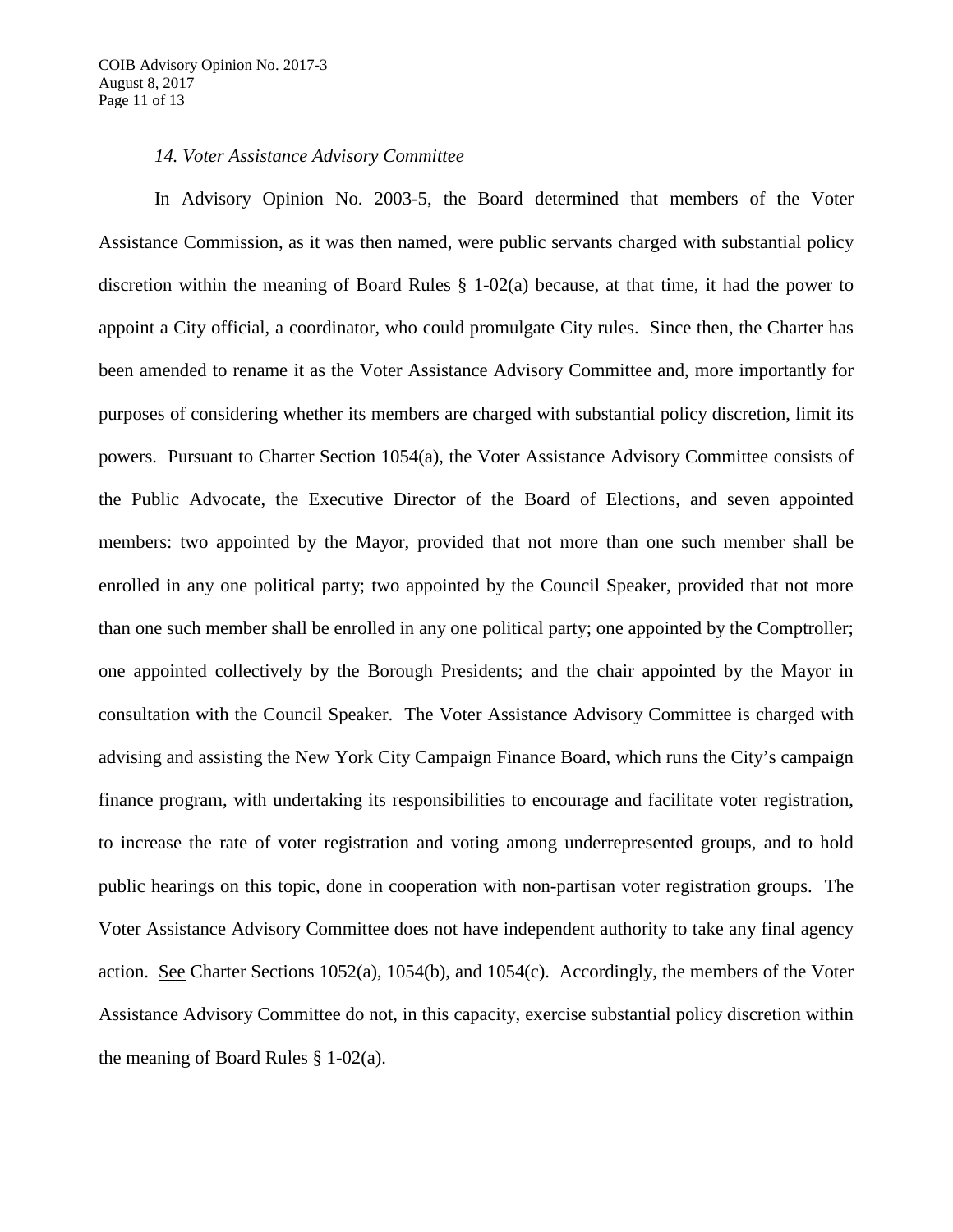#### *14. Voter Assistance Advisory Committee*

In Advisory Opinion No. 2003-5, the Board determined that members of the Voter Assistance Commission, as it was then named, were public servants charged with substantial policy discretion within the meaning of Board Rules § 1-02(a) because, at that time, it had the power to appoint a City official, a coordinator, who could promulgate City rules. Since then, the Charter has been amended to rename it as the Voter Assistance Advisory Committee and, more importantly for purposes of considering whether its members are charged with substantial policy discretion, limit its powers. Pursuant to Charter Section 1054(a), the Voter Assistance Advisory Committee consists of the Public Advocate, the Executive Director of the Board of Elections, and seven appointed members: two appointed by the Mayor, provided that not more than one such member shall be enrolled in any one political party; two appointed by the Council Speaker, provided that not more than one such member shall be enrolled in any one political party; one appointed by the Comptroller; one appointed collectively by the Borough Presidents; and the chair appointed by the Mayor in consultation with the Council Speaker. The Voter Assistance Advisory Committee is charged with advising and assisting the New York City Campaign Finance Board, which runs the City's campaign finance program, with undertaking its responsibilities to encourage and facilitate voter registration, to increase the rate of voter registration and voting among underrepresented groups, and to hold public hearings on this topic, done in cooperation with non-partisan voter registration groups. The Voter Assistance Advisory Committee does not have independent authority to take any final agency action. See Charter Sections 1052(a), 1054(b), and 1054(c). Accordingly, the members of the Voter Assistance Advisory Committee do not, in this capacity, exercise substantial policy discretion within the meaning of Board Rules § 1-02(a).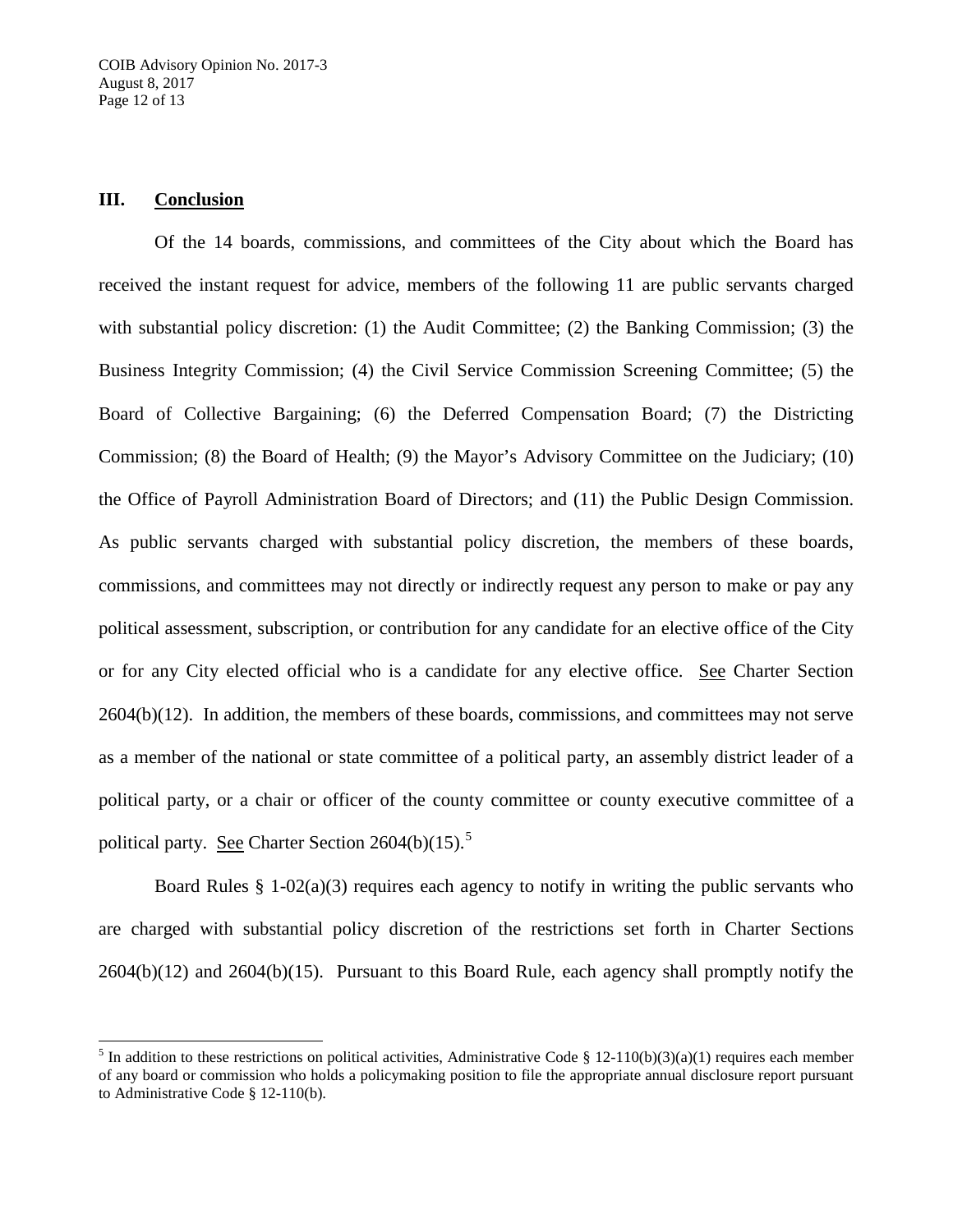## **III. Conclusion**

Of the 14 boards, commissions, and committees of the City about which the Board has received the instant request for advice, members of the following 11 are public servants charged with substantial policy discretion: (1) the Audit Committee; (2) the Banking Commission; (3) the Business Integrity Commission; (4) the Civil Service Commission Screening Committee; (5) the Board of Collective Bargaining; (6) the Deferred Compensation Board; (7) the Districting Commission; (8) the Board of Health; (9) the Mayor's Advisory Committee on the Judiciary; (10) the Office of Payroll Administration Board of Directors; and (11) the Public Design Commission. As public servants charged with substantial policy discretion, the members of these boards, commissions, and committees may not directly or indirectly request any person to make or pay any political assessment, subscription, or contribution for any candidate for an elective office of the City or for any City elected official who is a candidate for any elective office. See Charter Section 2604(b)(12). In addition, the members of these boards, commissions, and committees may not serve as a member of the national or state committee of a political party, an assembly district leader of a political party, or a chair or officer of the county committee or county executive committee of a political party. See Charter Section  $2604(b)(15)$  $2604(b)(15)$  $2604(b)(15)$ .<sup>5</sup>

Board Rules § 1-02(a)(3) requires each agency to notify in writing the public servants who are charged with substantial policy discretion of the restrictions set forth in Charter Sections 2604(b)(12) and 2604(b)(15). Pursuant to this Board Rule, each agency shall promptly notify the

<span id="page-11-0"></span><sup>&</sup>lt;sup>5</sup> In addition to these restrictions on political activities, Administrative Code § 12-110(b)(3)(a)(1) requires each member of any board or commission who holds a policymaking position to file the appropriate annual disclosure report pursuant to Administrative Code § 12-110(b).